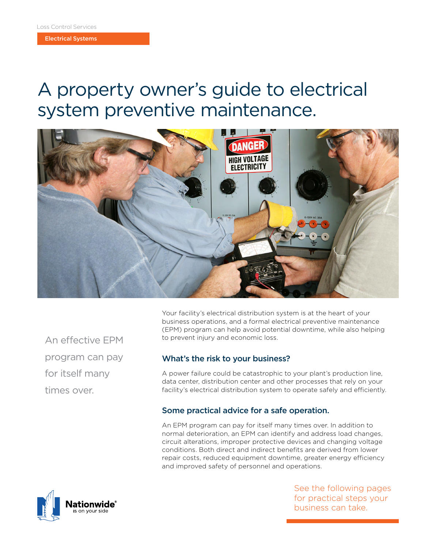Electrical Systems

# A property owner's guide to electrical system preventive maintenance.



An effective EPM program can pay for itself many times over.

Your facility's electrical distribution system is at the heart of your business operations, and a formal electrical preventive maintenance (EPM) program can help avoid potential downtime, while also helping to prevent injury and economic loss.

# What's the risk to your business?

A power failure could be catastrophic to your plant's production line, data center, distribution center and other processes that rely on your facility's electrical distribution system to operate safely and efficiently.

# Some practical advice for a safe operation.

An EPM program can pay for itself many times over. In addition to normal deterioration, an EPM can identify and address load changes, circuit alterations, improper protective devices and changing voltage conditions. Both direct and indirect benefits are derived from lower repair costs, reduced equipment downtime, greater energy efficiency and improved safety of personnel and operations.



See the following pages for practical steps your business can take.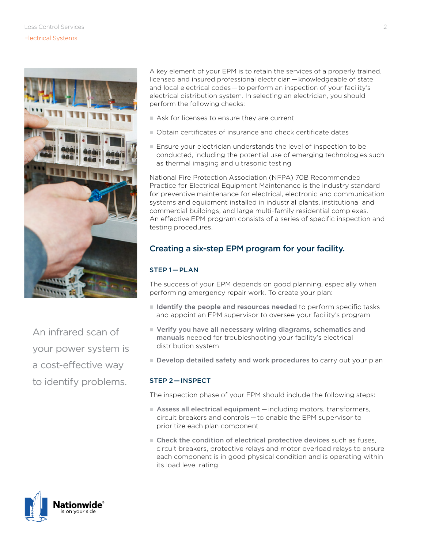

An infrared scan of your power system is a cost-effective way to identify problems.

A key element of your EPM is to retain the services of a properly trained, licensed and insured professional electrician — knowledgeable of state and local electrical codes — to perform an inspection of your facility's electrical distribution system. In selecting an electrician, you should perform the following checks:

- $n =$  Ask for licenses to ensure they are current
- n Obtain certificates of insurance and check certificate dates
- $\blacksquare$  Ensure your electrician understands the level of inspection to be conducted, including the potential use of emerging technologies such as thermal imaging and ultrasonic testing

National Fire Protection Association (NFPA) 70B Recommended Practice for Electrical Equipment Maintenance is the industry standard for preventive maintenance for electrical, electronic and communication systems and equipment installed in industrial plants, institutional and commercial buildings, and large multi-family residential complexes. An effective EPM program consists of a series of specific inspection and testing procedures.

# Creating a six-step EPM program for your facility.

## STEP 1 — PLAN

The success of your EPM depends on good planning, especially when performing emergency repair work. To create your plan:

- I Identify the people and resources needed to perform specific tasks and appoint an EPM supervisor to oversee your facility's program
- $\blacksquare$  Verify you have all necessary wiring diagrams, schematics and manuals needed for troubleshooting your facility's electrical distribution system
- Develop detailed safety and work procedures to carry out your plan

### STEP 2 — INSPECT

The inspection phase of your EPM should include the following steps:

- Assess all electrical equipment including motors, transformers, circuit breakers and controls — to enable the EPM supervisor to prioritize each plan component
- Check the condition of electrical protective devices such as fuses, circuit breakers, protective relays and motor overload relays to ensure each component is in good physical condition and is operating within its load level rating

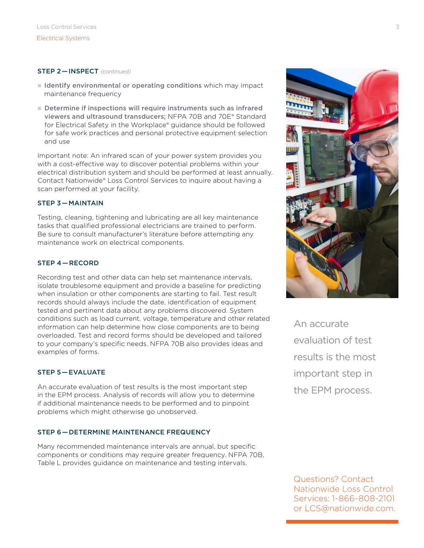#### STEP 2 — INSPECT *(continued)*

- I Identify environmental or operating conditions which may impact maintenance frequency
- $\blacksquare$  Determine if inspections will require instruments such as infrared viewers and ultrasound transducers; NFPA 70B and 70E® Standard for Electrical Safety in the Workplace® guidance should be followed for safe work practices and personal protective equipment selection and use

Important note: An infrared scan of your power system provides you with a cost-effective way to discover potential problems within your electrical distribution system and should be performed at least annually. Contact Nationwide® Loss Control Services to inquire about having a scan performed at your facility.

#### STEP 3 — MAINTAIN

Testing, cleaning, tightening and lubricating are all key maintenance tasks that qualified professional electricians are trained to perform. Be sure to consult manufacturer's literature before attempting any maintenance work on electrical components.

#### STEP 4 — RECORD

Recording test and other data can help set maintenance intervals, isolate troublesome equipment and provide a baseline for predicting when insulation or other components are starting to fail. Test result records should always include the date, identification of equipment tested and pertinent data about any problems discovered. System conditions such as load current, voltage, temperature and other related information can help determine how close components are to being overloaded. Test and record forms should be developed and tailored to your company's specific needs. NFPA 70B also provides ideas and examples of forms.

#### STEP 5 — EVALUATE

An accurate evaluation of test results is the most important step in the EPM process. Analysis of records will allow you to determine if additional maintenance needs to be performed and to pinpoint problems which might otherwise go unobserved.

#### STEP 6 — DETERMINE MAINTENANCE FREQUENCY

Many recommended maintenance intervals are annual, but specific components or conditions may require greater frequency. NFPA 70B, Table L provides guidance on maintenance and testing intervals.



An accurate evaluation of test results is the most important step in the EPM process.

Questions? Contact Nationwide Loss Control Services: 1-866-808-2101 or LCS@nationwide.com.